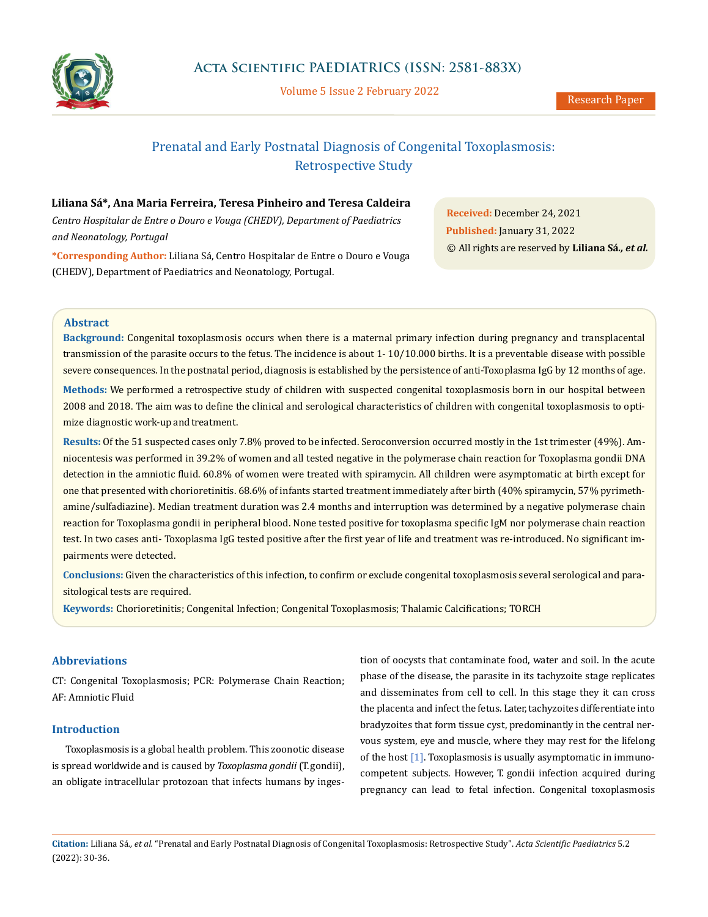

Volume 5 Issue 2 February 2022

# Prenatal and Early Postnatal Diagnosis of Congenital Toxoplasmosis: Retrospective Study

# **Liliana Sá\*, Ana Maria Ferreira, Teresa Pinheiro and Teresa Caldeira**

*Centro Hospitalar de Entre o Douro e Vouga (CHEDV), Department of Paediatrics and Neonatology, Portugal*

**\*Corresponding Author:** Liliana Sá, Centro Hospitalar de Entre o Douro e Vouga (CHEDV), Department of Paediatrics and Neonatology, Portugal.

**Received:** December 24, 2021 **Published:** January 31, 2022 © All rights are reserved by **Liliana Sá***., et al.*

## **Abstract**

**Background:** Congenital toxoplasmosis occurs when there is a maternal primary infection during pregnancy and transplacental transmission of the parasite occurs to the fetus. The incidence is about 1- 10/10.000 births. It is a preventable disease with possible severe consequences. In the postnatal period, diagnosis is established by the persistence of anti-Toxoplasma IgG by 12 months of age.

**Methods:** We performed a retrospective study of children with suspected congenital toxoplasmosis born in our hospital between 2008 and 2018. The aim was to define the clinical and serological characteristics of children with congenital toxoplasmosis to optimize diagnostic work-up and treatment.

**Results:** Of the 51 suspected cases only 7.8% proved to be infected. Seroconversion occurred mostly in the 1st trimester (49%). Amniocentesis was performed in 39.2% of women and all tested negative in the polymerase chain reaction for Toxoplasma gondii DNA detection in the amniotic fluid. 60.8% of women were treated with spiramycin. All children were asymptomatic at birth except for one that presented with chorioretinitis. 68.6% of infants started treatment immediately after birth (40% spiramycin, 57% pyrimethamine/sulfadiazine). Median treatment duration was 2.4 months and interruption was determined by a negative polymerase chain reaction for Toxoplasma gondii in peripheral blood. None tested positive for toxoplasma specific IgM nor polymerase chain reaction test. In two cases anti- Toxoplasma IgG tested positive after the first year of life and treatment was re-introduced. No significant impairments were detected.

**Conclusions:** Given the characteristics of this infection, to confirm or exclude congenital toxoplasmosis several serological and parasitological tests are required.

**Keywords:** Chorioretinitis; Congenital Infection; Congenital Toxoplasmosis; Thalamic Calcifications; TORCH

# **Abbreviations**

CT: Congenital Toxoplasmosis; PCR: Polymerase Chain Reaction; AF: Amniotic Fluid

# **Introduction**

Toxoplasmosis is a global health problem. This zoonotic disease is spread worldwide and is caused by *Toxoplasma gondii* (T. gondii), an obligate intracellular protozoan that infects humans by ingestion of oocysts that contaminate food, water and soil. In the acute phase of the disease, the parasite in its tachyzoite stage replicates and disseminates from cell to cell. In this stage they it can cross the placenta and infect the fetus. Later, tachyzoites differentiate into bradyzoites that form tissue cyst, predominantly in the central nervous system, eye and muscle, where they may rest for the lifelong of the host [1]. Toxoplasmosis is usually asymptomatic in immunocompetent subjects. However, T. gondii infection acquired during pregnancy can lead to fetal infection. Congenital toxoplasmosis

**Citation:** Liliana Sá*., et al.* "Prenatal and Early Postnatal Diagnosis of Congenital Toxoplasmosis: Retrospective Study". *Acta Scientific Paediatrics* 5.2 (2022): 30-36.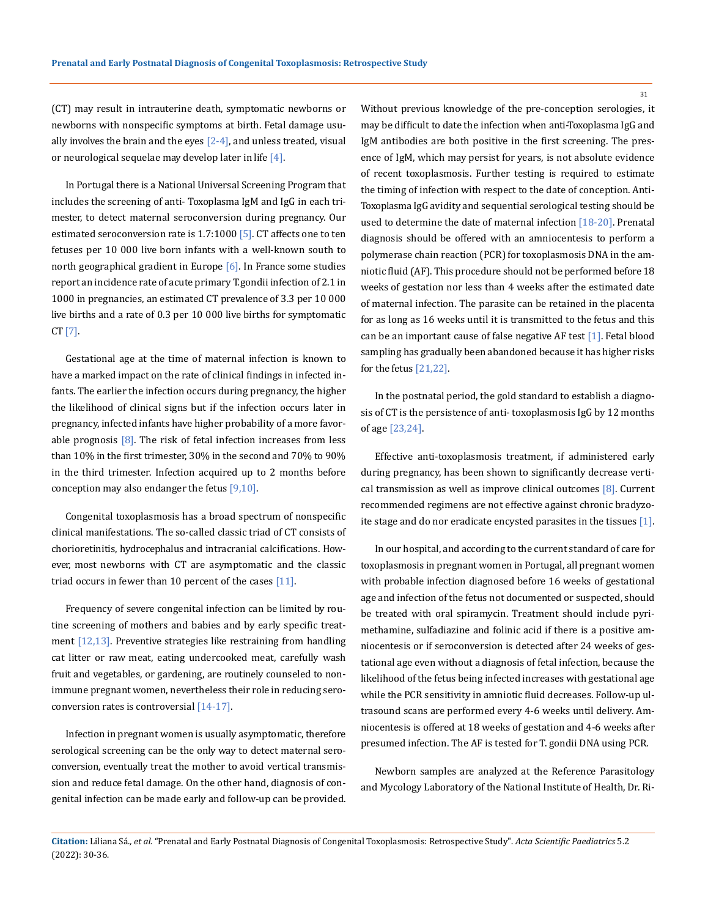(CT) may result in intrauterine death, symptomatic newborns or newborns with nonspecific symptoms at birth. Fetal damage usually involves the brain and the eyes  $[2-4]$ , and unless treated, visual or neurological sequelae may develop later in life  $[4]$ .

In Portugal there is a National Universal Screening Program that includes the screening of anti- Toxoplasma IgM and IgG in each trimester, to detect maternal seroconversion during pregnancy. Our estimated seroconversion rate is  $1.7:1000$  [5]. CT affects one to ten fetuses per 10 000 live born infants with a well-known south to north geographical gradient in Europe [6]. In France some studies report an incidence rate of acute primary T. gondii infection of 2.1 in 1000 in pregnancies, an estimated CT prevalence of 3.3 per 10 000 live births and a rate of 0.3 per 10 000 live births for symptomatic  $CT [7]$ .

Gestational age at the time of maternal infection is known to have a marked impact on the rate of clinical findings in infected infants. The earlier the infection occurs during pregnancy, the higher the likelihood of clinical signs but if the infection occurs later in pregnancy, infected infants have higher probability of a more favorable prognosis  $[8]$ . The risk of fetal infection increases from less than 10% in the first trimester, 30% in the second and 70% to 90% in the third trimester. Infection acquired up to 2 months before conception may also endanger the fetus  $[9,10]$ .

Congenital toxoplasmosis has a broad spectrum of nonspecific clinical manifestations. The so-called classic triad of CT consists of chorioretinitis, hydrocephalus and intracranial calcifications. However, most newborns with CT are asymptomatic and the classic triad occurs in fewer than 10 percent of the cases [11].

Frequency of severe congenital infection can be limited by routine screening of mothers and babies and by early specific treatment  $[12,13]$ . Preventive strategies like restraining from handling cat litter or raw meat, eating undercooked meat, carefully wash fruit and vegetables, or gardening, are routinely counseled to nonimmune pregnant women, nevertheless their role in reducing seroconversion rates is controversial [14-17].

Infection in pregnant women is usually asymptomatic, therefore serological screening can be the only way to detect maternal seroconversion, eventually treat the mother to avoid vertical transmission and reduce fetal damage. On the other hand, diagnosis of congenital infection can be made early and follow-up can be provided. Without previous knowledge of the pre-conception serologies, it may be difficult to date the infection when anti-Toxoplasma IgG and IgM antibodies are both positive in the first screening. The presence of IgM, which may persist for years, is not absolute evidence of recent toxoplasmosis. Further testing is required to estimate the timing of infection with respect to the date of conception. Anti-Toxoplasma IgG avidity and sequential serological testing should be used to determine the date of maternal infection [18-20]. Prenatal diagnosis should be offered with an amniocentesis to perform a polymerase chain reaction (PCR) for toxoplasmosis DNA in the amniotic fluid (AF). This procedure should not be performed before 18 weeks of gestation nor less than 4 weeks after the estimated date of maternal infection. The parasite can be retained in the placenta for as long as 16 weeks until it is transmitted to the fetus and this can be an important cause of false negative AF test [1]. Fetal blood sampling has gradually been abandoned because it has higher risks for the fetus [21,22].

In the postnatal period, the gold standard to establish a diagnosis of CT is the persistence of anti- toxoplasmosis IgG by 12 months of age [23,24].

Effective anti-toxoplasmosis treatment, if administered early during pregnancy, has been shown to significantly decrease vertical transmission as well as improve clinical outcomes [8]. Current recommended regimens are not effective against chronic bradyzoite stage and do nor eradicate encysted parasites in the tissues [1].

In our hospital, and according to the current standard of care for toxoplasmosis in pregnant women in Portugal, all pregnant women with probable infection diagnosed before 16 weeks of gestational age and infection of the fetus not documented or suspected, should be treated with oral spiramycin. Treatment should include pyrimethamine, sulfadiazine and folinic acid if there is a positive amniocentesis or if seroconversion is detected after 24 weeks of gestational age even without a diagnosis of fetal infection, because the likelihood of the fetus being infected increases with gestational age while the PCR sensitivity in amniotic fluid decreases. Follow-up ultrasound scans are performed every 4-6 weeks until delivery. Amniocentesis is offered at 18 weeks of gestation and 4-6 weeks after presumed infection. The AF is tested for T. gondii DNA using PCR.

Newborn samples are analyzed at the Reference Parasitology and Mycology Laboratory of the National Institute of Health, Dr. Ri-

**Citation:** Liliana Sá*., et al.* "Prenatal and Early Postnatal Diagnosis of Congenital Toxoplasmosis: Retrospective Study". *Acta Scientific Paediatrics* 5.2 (2022): 30-36.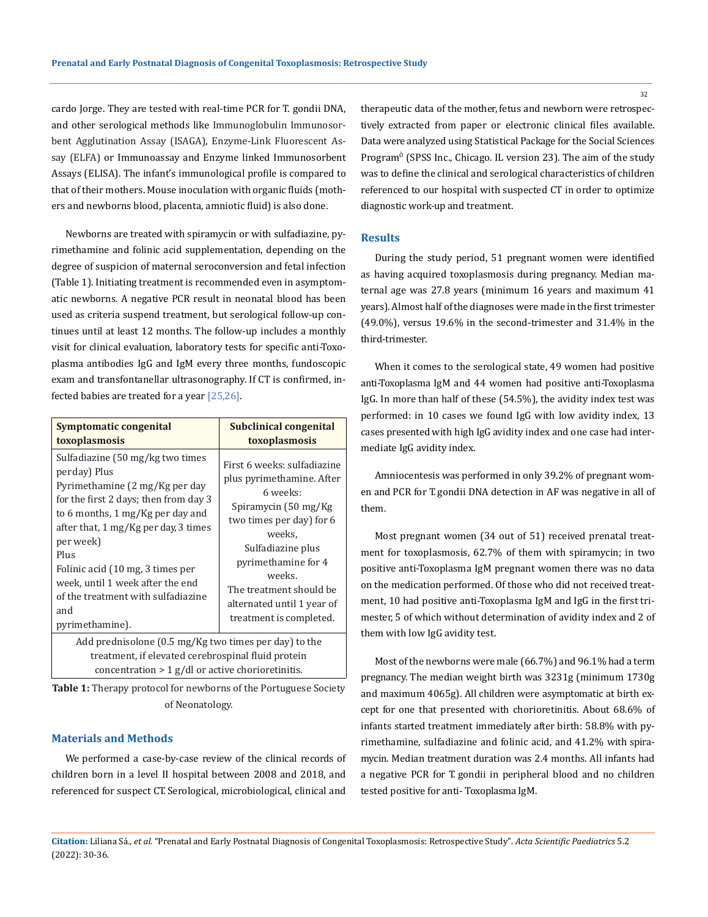cardo Jorge. They are tested with real-time PCR for T. gondii DNA, and other serological methods like Immunoglobulin Immunosorbent Agglutination Assay (ISAGA), Enzyme-Link Fluorescent Assay (ELFA) or Immunoassay and Enzyme linked Immunosorbent Assays (ELISA). The infant's immunological profile is compared to that of their mothers. Mouse inoculation with organic fluids (mothers and newborns blood, placenta, amniotic fluid) is also done.

Newborns are treated with spiramycin or with sulfadiazine, pyrimethamine and folinic acid supplementation, depending on the degree of suspicion of maternal seroconversion and fetal infection (Table 1). Initiating treatment is recommended even in asymptomatic newborns. A negative PCR result in neonatal blood has been used as criteria suspend treatment, but serological follow-up continues until at least 12 months. The follow-up includes a monthly visit for clinical evaluation, laboratory tests for specific anti-Toxoplasma antibodies IgG and IgM every three months, fundoscopic exam and transfontanellar ultrasonography. If CT is confirmed, infected babies are treated for a year [25,26].

| Symptomatic congenital<br>toxoplasmosis                                                                                                                                                                                                                                                                                                                              | Subclinical congenital<br>toxoplasmosis                                                                                                                                                                                                                                       |  |  |  |
|----------------------------------------------------------------------------------------------------------------------------------------------------------------------------------------------------------------------------------------------------------------------------------------------------------------------------------------------------------------------|-------------------------------------------------------------------------------------------------------------------------------------------------------------------------------------------------------------------------------------------------------------------------------|--|--|--|
| Sulfadiazine (50 mg/kg two times<br>perday) Plus<br>Pyrimethamine (2 mg/Kg per day<br>for the first 2 days; then from day 3<br>to 6 months, 1 mg/Kg per day and<br>after that, 1 mg/Kg per day, 3 times<br>per week)<br>Plus<br>Folinic acid (10 mg, 3 times per<br>week, until 1 week after the end<br>of the treatment with sulfadiazine<br>and<br>pyrimethamine). | First 6 weeks: sulfadiazine<br>plus pyrimethamine. After<br>6 weeks:<br>Spiramycin (50 mg/Kg)<br>two times per day) for 6<br>weeks.<br>Sulfadiazine plus<br>pyrimethamine for 4<br>weeks.<br>The treatment should be<br>alternated until 1 year of<br>treatment is completed. |  |  |  |
| Add prednisolone (0.5 mg/Kg two times per day) to the<br>treatment, if elevated cerebrospinal fluid protein<br>concentration $> 1$ g/dl or active chorioretinitis.                                                                                                                                                                                                   |                                                                                                                                                                                                                                                                               |  |  |  |

**Table 1:** Therapy protocol for newborns of the Portuguese Society of Neonatology.

## **Materials and Methods**

We performed a case-by-case review of the clinical records of children born in a level II hospital between 2008 and 2018, and referenced for suspect CT. Serological, microbiological, clinical and

therapeutic data of the mother, fetus and newborn were retrospectively extracted from paper or electronic clinical files available. Data were analyzed using Statistical Package for the Social Sciences Program<sup>ô</sup> (SPSS Inc., Chicago. IL version 23). The aim of the study was to define the clinical and serological characteristics of children referenced to our hospital with suspected CT in order to optimize diagnostic work-up and treatment.

#### **Results**

During the study period, 51 pregnant women were identified as having acquired toxoplasmosis during pregnancy. Median maternal age was 27.8 years (minimum 16 years and maximum 41 years). Almost half of the diagnoses were made in the first trimester (49.0%), versus 19.6% in the second-trimester and 31.4% in the third-trimester.

When it comes to the serological state, 49 women had positive anti-Toxoplasma IgM and 44 women had positive anti-Toxoplasma IgG. In more than half of these (54.5%), the avidity index test was performed: in 10 cases we found IgG with low avidity index, 13 cases presented with high IgG avidity index and one case had intermediate IgG avidity index.

Amniocentesis was performed in only 39.2% of pregnant women and PCR for T. gondii DNA detection in AF was negative in all of them.

Most pregnant women (34 out of 51) received prenatal treatment for toxoplasmosis, 62.7% of them with spiramycin; in two positive anti-Toxoplasma IgM pregnant women there was no data on the medication performed. Of those who did not received treatment, 10 had positive anti-Toxoplasma IgM and IgG in the first trimester, 5 of which without determination of avidity index and 2 of them with low IgG avidity test.

Most of the newborns were male (66.7%) and 96.1% had a term pregnancy. The median weight birth was 3231g (minimum 1730g and maximum 4065g). All children were asymptomatic at birth except for one that presented with chorioretinitis. About 68.6% of infants started treatment immediately after birth: 58.8% with pyrimethamine, sulfadiazine and folinic acid, and 41.2% with spiramycin. Median treatment duration was 2.4 months. All infants had a negative PCR for T. gondii in peripheral blood and no children tested positive for anti- Toxoplasma IgM.

**Citation:** Liliana Sá*., et al.* "Prenatal and Early Postnatal Diagnosis of Congenital Toxoplasmosis: Retrospective Study". *Acta Scientific Paediatrics* 5.2 (2022): 30-36.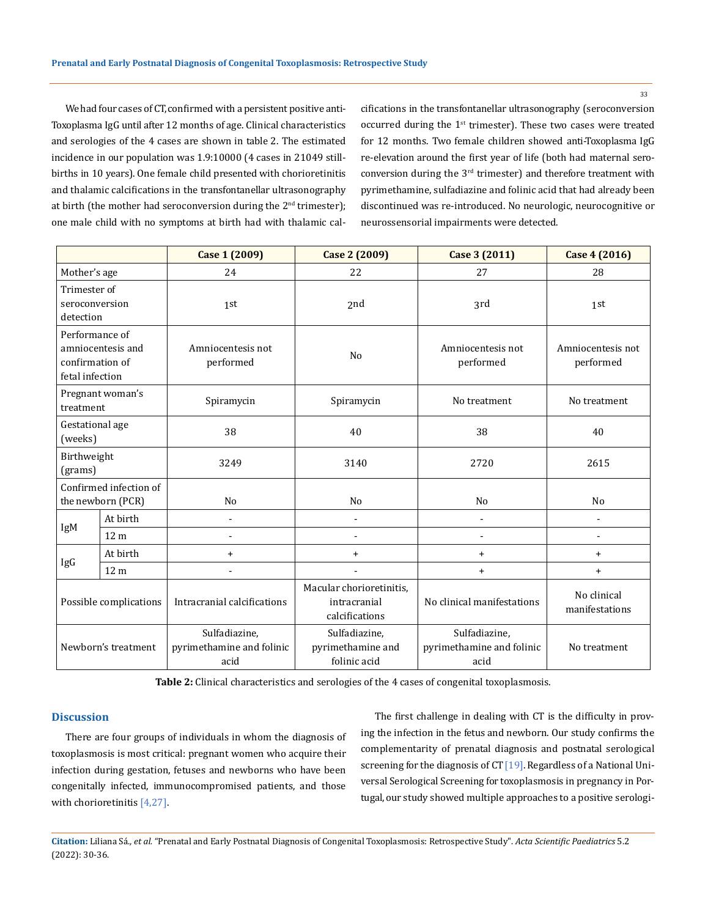We had four cases of CT, confirmed with a persistent positive anti-Toxoplasma IgG until after 12 months of age. Clinical characteristics and serologies of the 4 cases are shown in table 2. The estimated incidence in our population was 1.9:10000 (4 cases in 21049 stillbirths in 10 years). One female child presented with chorioretinitis and thalamic calcifications in the transfontanellar ultrasonography at birth (the mother had seroconversion during the  $2<sup>nd</sup>$  trimester); one male child with no symptoms at birth had with thalamic calcifications in the transfontanellar ultrasonography (seroconversion occurred during the 1<sup>st</sup> trimester). These two cases were treated for 12 months. Two female children showed anti-Toxoplasma IgG re-elevation around the first year of life (both had maternal seroconversion during the 3rd trimester) and therefore treatment with pyrimethamine, sulfadiazine and folinic acid that had already been discontinued was re-introduced. No neurologic, neurocognitive or neurossensorial impairments were detected.

|                                                                           |                 | <b>Case 1 (2009)</b>                               | Case 2 (2009)                                              | Case 3 (2011)                                      | Case 4 (2016)                  |
|---------------------------------------------------------------------------|-----------------|----------------------------------------------------|------------------------------------------------------------|----------------------------------------------------|--------------------------------|
| Mother's age                                                              |                 | 24                                                 | 22                                                         | 27                                                 | 28                             |
| Trimester of<br>seroconversion<br>detection                               |                 | 1st                                                | 2nd                                                        | 3rd                                                | 1st                            |
| Performance of<br>amniocentesis and<br>confirmation of<br>fetal infection |                 | Amniocentesis not<br>performed                     | N <sub>o</sub>                                             | Amniocentesis not<br>performed                     | Amniocentesis not<br>performed |
| Pregnant woman's<br>treatment                                             |                 | Spiramycin                                         | Spiramycin                                                 | No treatment                                       | No treatment                   |
| Gestational age<br>(weeks)                                                |                 | 38                                                 | 40                                                         | 38                                                 | 40                             |
| Birthweight<br>(grams)                                                    |                 | 3249                                               | 3140                                                       | 2720                                               | 2615                           |
| Confirmed infection of<br>the newborn (PCR)                               |                 | No                                                 | No                                                         | N <sub>o</sub>                                     | N <sub>0</sub>                 |
| IgM                                                                       | At birth        | ٠                                                  | $\blacksquare$                                             | $\blacksquare$                                     | $\overline{\phantom{a}}$       |
|                                                                           | 12 <sub>m</sub> | $\overline{a}$                                     |                                                            | $\blacksquare$                                     | $\overline{\phantom{a}}$       |
| IgG                                                                       | At birth        | $\ddot{}$                                          | $\ddot{}$                                                  | $\ddot{}$                                          | $+$                            |
|                                                                           | 12 <sub>m</sub> |                                                    |                                                            | $\ddot{}$                                          | $\ddot{}$                      |
| Possible complications                                                    |                 | Intracranial calcifications                        | Macular chorioretinitis,<br>intracranial<br>calcifications | No clinical manifestations                         | No clinical<br>manifestations  |
| Newborn's treatment                                                       |                 | Sulfadiazine,<br>pyrimethamine and folinic<br>acid | Sulfadiazine,<br>pyrimethamine and<br>folinic acid         | Sulfadiazine,<br>pyrimethamine and folinic<br>acid | No treatment                   |

**Table 2:** Clinical characteristics and serologies of the 4 cases of congenital toxoplasmosis.

#### **Discussion**

There are four groups of individuals in whom the diagnosis of toxoplasmosis is most critical: pregnant women who acquire their infection during gestation, fetuses and newborns who have been congenitally infected, immunocompromised patients, and those with chorioretinitis [4,27].

The first challenge in dealing with CT is the difficulty in proving the infection in the fetus and newborn. Our study confirms the complementarity of prenatal diagnosis and postnatal serological screening for the diagnosis of  $CT$  [19]. Regardless of a National Universal Serological Screening for toxoplasmosis in pregnancy in Portugal, our study showed multiple approaches to a positive serologi-

**Citation:** Liliana Sá*., et al.* "Prenatal and Early Postnatal Diagnosis of Congenital Toxoplasmosis: Retrospective Study". *Acta Scientific Paediatrics* 5.2 (2022): 30-36.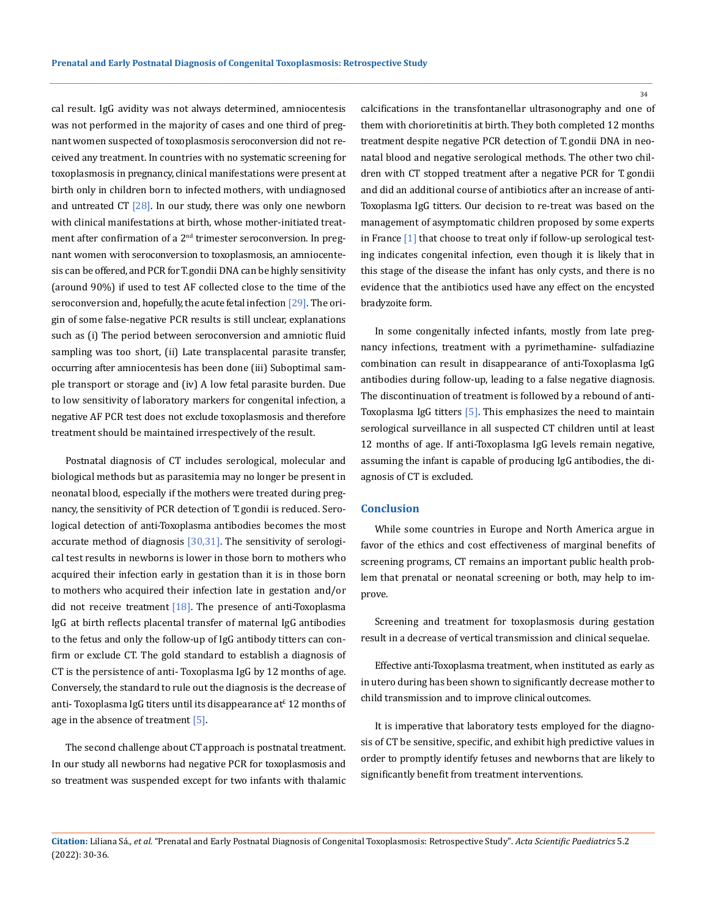cal result. IgG avidity was not always determined, amniocentesis was not performed in the majority of cases and one third of pregnant women suspected of toxoplasmosis seroconversion did not received any treatment. In countries with no systematic screening for toxoplasmosis in pregnancy, clinical manifestations were present at birth only in children born to infected mothers, with undiagnosed and untreated CT  $[28]$ . In our study, there was only one newborn with clinical manifestations at birth, whose mother-initiated treatment after confirmation of a 2<sup>nd</sup> trimester seroconversion. In pregnant women with seroconversion to toxoplasmosis, an amniocentesis can be offered, and PCR for T. gondii DNA can be highly sensitivity (around 90%) if used to test AF collected close to the time of the seroconversion and, hopefully, the acute fetal infection [29]. The origin of some false-negative PCR results is still unclear, explanations such as (i) The period between seroconversion and amniotic fluid sampling was too short, (ii) Late transplacental parasite transfer, occurring after amniocentesis has been done (iii) Suboptimal sample transport or storage and (iv) A low fetal parasite burden. Due to low sensitivity of laboratory markers for congenital infection, a negative AF PCR test does not exclude toxoplasmosis and therefore treatment should be maintained irrespectively of the result.

Postnatal diagnosis of CT includes serological, molecular and biological methods but as parasitemia may no longer be present in neonatal blood, especially if the mothers were treated during pregnancy, the sensitivity of PCR detection of T. gondii is reduced. Serological detection of anti-Toxoplasma antibodies becomes the most accurate method of diagnosis  $[30,31]$ . The sensitivity of serological test results in newborns is lower in those born to mothers who acquired their infection early in gestation than it is in those born to mothers who acquired their infection late in gestation and/or did not receive treatment  $[18]$ . The presence of anti-Toxoplasma IgG at birth reflects placental transfer of maternal IgG antibodies to the fetus and only the follow-up of IgG antibody titters can confirm or exclude CT. The gold standard to establish a diagnosis of CT is the persistence of anti- Toxoplasma IgG by 12 months of age. Conversely, the standard to rule out the diagnosis is the decrease of anti- Toxoplasma IgG titers until its disappearance at<sup>£</sup> 12 months of age in the absence of treatment [5].

The second challenge about CT approach is postnatal treatment. In our study all newborns had negative PCR for toxoplasmosis and so treatment was suspended except for two infants with thalamic calcifications in the transfontanellar ultrasonography and one of them with chorioretinitis at birth. They both completed 12 months treatment despite negative PCR detection of T. gondii DNA in neonatal blood and negative serological methods. The other two children with CT stopped treatment after a negative PCR for T. gondii and did an additional course of antibiotics after an increase of anti-Toxoplasma IgG titters. Our decision to re-treat was based on the management of asymptomatic children proposed by some experts in France [1] that choose to treat only if follow-up serological testing indicates congenital infection, even though it is likely that in this stage of the disease the infant has only cysts, and there is no evidence that the antibiotics used have any effect on the encysted bradyzoite form.

In some congenitally infected infants, mostly from late pregnancy infections, treatment with a pyrimethamine- sulfadiazine combination can result in disappearance of anti-Toxoplasma IgG antibodies during follow-up, leading to a false negative diagnosis. The discontinuation of treatment is followed by a rebound of anti-Toxoplasma IgG titters  $\lceil 5 \rceil$ . This emphasizes the need to maintain serological surveillance in all suspected CT children until at least 12 months of age. If anti-Toxoplasma IgG levels remain negative, assuming the infant is capable of producing IgG antibodies, the diagnosis of CT is excluded.

### **Conclusion**

While some countries in Europe and North America argue in favor of the ethics and cost effectiveness of marginal benefits of screening programs, CT remains an important public health problem that prenatal or neonatal screening or both, may help to improve.

Screening and treatment for toxoplasmosis during gestation result in a decrease of vertical transmission and clinical sequelae.

Effective anti-Toxoplasma treatment, when instituted as early as in utero during has been shown to significantly decrease mother to child transmission and to improve clinical outcomes.

It is imperative that laboratory tests employed for the diagnosis of CT be sensitive, specific, and exhibit high predictive values in order to promptly identify fetuses and newborns that are likely to significantly benefit from treatment interventions.

**Citation:** Liliana Sá*., et al.* "Prenatal and Early Postnatal Diagnosis of Congenital Toxoplasmosis: Retrospective Study". *Acta Scientific Paediatrics* 5.2 (2022): 30-36.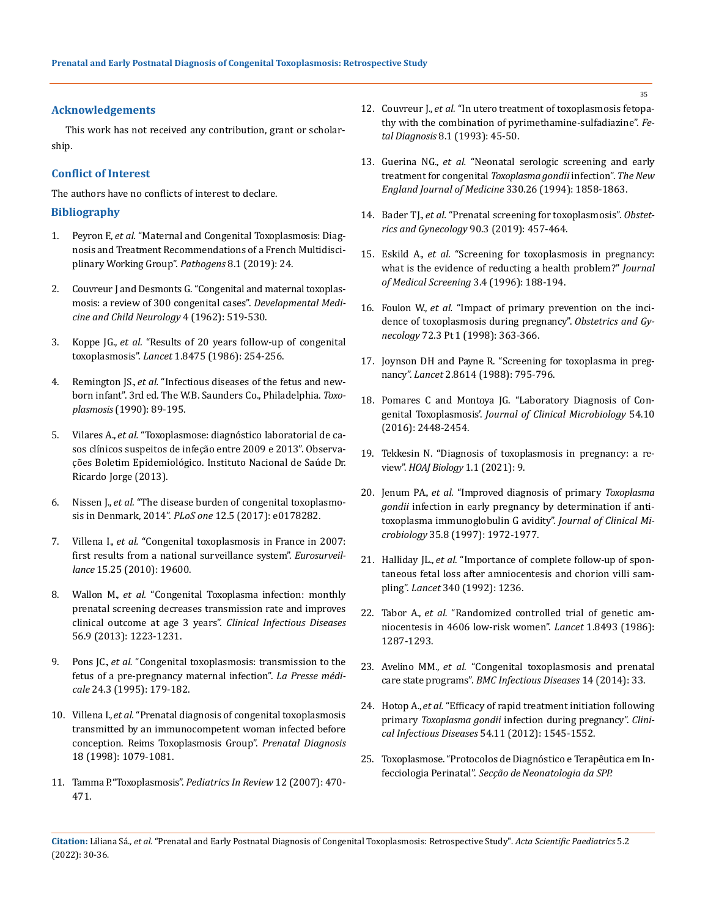#### **Acknowledgements**

This work has not received any contribution, grant or scholarship.

#### **Conflict of Interest**

The authors have no conflicts of interest to declare.

### **Bibliography**

- 1. Peyron F., *et al.* ["Maternal and Congenital Toxoplasmosis: Diag](https://pubmed.ncbi.nlm.nih.gov/30781652/)[nosis and Treatment Recommendations of a French Multidisci](https://pubmed.ncbi.nlm.nih.gov/30781652/)[plinary Working Group".](https://pubmed.ncbi.nlm.nih.gov/30781652/) *Pathogens* 8.1 (2019): 24.
- 2. [Couvreur J and Desmonts G. "Congenital and maternal toxoplas](https://pubmed.ncbi.nlm.nih.gov/14023494/)[mosis: a review of 300 congenital cases".](https://pubmed.ncbi.nlm.nih.gov/14023494/) *Developmental Medi[cine and Child Neurology](https://pubmed.ncbi.nlm.nih.gov/14023494/)* 4 (1962): 519-530.
- 3. Koppe JG., *et al.* ["Results of 20 years follow-up of congenital](https://pubmed.ncbi.nlm.nih.gov/2868264/)  toxoplasmosis". *Lancet* [1.8475 \(1986\): 254-256.](https://pubmed.ncbi.nlm.nih.gov/2868264/)
- 4. Remington JS., *et al.* "Infectious diseases of the fetus and newborn infant". 3rd ed. The W. B. Saunders Co., Philadelphia. *Toxoplasmosis* (1990): 89-195.
- 5. Vilares A., *et al.* ["Toxoplasmose: diagnóstico laboratorial de ca](https://www.insa.min-saude.pt/artigo-toxoplasmose-diagnostico-laboratorial-de-casos-clinicos-suspeitos-de-infecao-entre-2009-e-2013/)[sos clínicos suspeitos de infeção entre 2009 e 2013". Observa](https://www.insa.min-saude.pt/artigo-toxoplasmose-diagnostico-laboratorial-de-casos-clinicos-suspeitos-de-infecao-entre-2009-e-2013/)[ções Boletim Epidemiológico. Instituto Nacional de Saúde Dr.](https://www.insa.min-saude.pt/artigo-toxoplasmose-diagnostico-laboratorial-de-casos-clinicos-suspeitos-de-infecao-entre-2009-e-2013/)  Ricardo [Jorge \(2013\).](https://www.insa.min-saude.pt/artigo-toxoplasmose-diagnostico-laboratorial-de-casos-clinicos-suspeitos-de-infecao-entre-2009-e-2013/)
- 6. Nissen J., *et al.* ["The disease burden of congenital toxoplasmo](https://journals.plos.org/plosone/article?id=10.1371/journal.pone.0178282)sis in Denmark, 2014". *PLoS one* 12.5 (2017): e0178282.
- 7. Villena I., *et al.* ["Congenital toxoplasmosis in France in 2007:](https://pubmed.ncbi.nlm.nih.gov/20587361/)  [first results from a national surveillance](https://pubmed.ncbi.nlm.nih.gov/20587361/) system". *Eurosurveillance* [15.25 \(2010\): 19600.](https://pubmed.ncbi.nlm.nih.gov/20587361/)
- 8. Wallon M., *et al.* ["Congenital Toxoplasma infection: monthly](https://pubmed.ncbi.nlm.nih.gov/23362291/)  [prenatal screening decreases transmission rate and improves](https://pubmed.ncbi.nlm.nih.gov/23362291/)  [clinical outcome at age 3 years".](https://pubmed.ncbi.nlm.nih.gov/23362291/) *Clinical Infectious Diseases*  [56.9 \(2013\): 1223-1231.](https://pubmed.ncbi.nlm.nih.gov/23362291/)
- 9. Pons JC., *et al.* ["Congenital toxoplasmosis: transmission to](https://pubmed.ncbi.nlm.nih.gov/7899358/) the fetus of a pre-pregnancy maternal infection". *[La Presse médi](https://pubmed.ncbi.nlm.nih.gov/7899358/)cale* [24.3 \(1995\): 179-182.](https://pubmed.ncbi.nlm.nih.gov/7899358/)
- 10. Villena I., *et al.* ["Prenatal diagnosis of congenital toxoplasmosis](https://pubmed.ncbi.nlm.nih.gov/9826901/)  [transmitted by an immunocompetent woman infected before](https://pubmed.ncbi.nlm.nih.gov/9826901/)  [conception. Reims Toxoplasmosis Group".](https://pubmed.ncbi.nlm.nih.gov/9826901/) *Prenatal Diagnosis*  [18 \(1998\): 1079-1081.](https://pubmed.ncbi.nlm.nih.gov/9826901/)
- 11. Tamma P. "Toxoplasmosis". *Pediatrics In Review* 12 (2007): 470- 471.
- 12. Couvreur J., *et al.* ["In utero treatment of toxoplasmosis fetopa](https://pubmed.ncbi.nlm.nih.gov/8452648/)[thy with the combination of pyrimethamine-sulfadiazine".](https://pubmed.ncbi.nlm.nih.gov/8452648/) *Fetal Diagnosis* [8.1 \(1993\): 45-50.](https://pubmed.ncbi.nlm.nih.gov/8452648/)
- 13. Guerina NG., *et al.* ["Neonatal serologic screening and early](https://pubmed.ncbi.nlm.nih.gov/7818637/)  [treatment for congenital](https://pubmed.ncbi.nlm.nih.gov/7818637/) *Toxoplasma gondii* infection". *The New [England Journal of Medicine](https://pubmed.ncbi.nlm.nih.gov/7818637/)* 330.26 (1994): 1858-1863.
- 14. Bader TJ., *et al.* ["Prenatal screening for toxoplasmosis".](https://pubmed.ncbi.nlm.nih.gov/9277662/) *Obstet[rics and Gynecology](https://pubmed.ncbi.nlm.nih.gov/9277662/)* 90.3 (2019): 457-464.
- 15. Eskild A., *et al.* ["Screening for toxoplasmosis in pregnancy:](https://pubmed.ncbi.nlm.nih.gov/9041483/)  [what is the evidence of reducting a health problem?"](https://pubmed.ncbi.nlm.nih.gov/9041483/) *Journal [of Medical Screening](https://pubmed.ncbi.nlm.nih.gov/9041483/)* 3.4 (1996): 188-194.
- 16. Foulon W., *et al.* ["Impact of primary prevention on the inci](https://pubmed.ncbi.nlm.nih.gov/3405553/)[dence of toxoplasmosis during pregnancy".](https://pubmed.ncbi.nlm.nih.gov/3405553/) *Obstetrics and Gynecology* 72.3 Pt [1 \(1998\): 363-366.](https://pubmed.ncbi.nlm.nih.gov/3405553/)
- 17. [Joynson DH and Payne R. "Screening for toxoplasma in preg](https://pubmed.ncbi.nlm.nih.gov/2901635/)nancy". *Lancet* [2.8614 \(1988\): 795-796.](https://pubmed.ncbi.nlm.nih.gov/2901635/)
- 18. [Pomares C and Montoya JG. "Laboratory Diagnosis of Con](https://pubmed.ncbi.nlm.nih.gov/27147724/)genital Toxoplasmosis'. *[Journal of Clinical Microbiology](https://pubmed.ncbi.nlm.nih.gov/27147724/)* 54.10 [\(2016\): 2448-2454.](https://pubmed.ncbi.nlm.nih.gov/27147724/)
- 19. [Tekkesin N. "Diagnosis of toxoplasmosis in pregnancy: a re](https://www.researchgate.net/publication/269782026_Diagnosis_of_toxoplasmosis_in_pregnancy_a_review)view". *[HOAJ Biology](https://www.researchgate.net/publication/269782026_Diagnosis_of_toxoplasmosis_in_pregnancy_a_review)* 1.1 (2021): 9.
- 20. Jenum PA., *et al.* ["Improved diagnosis of primary](https://pubmed.ncbi.nlm.nih.gov/9230365/) *Toxoplasma gondii* [infection in early pregnancy by determination if anti](https://pubmed.ncbi.nlm.nih.gov/9230365/)[toxoplasma immunoglobulin G avidity".](https://pubmed.ncbi.nlm.nih.gov/9230365/) *Journal of Clinical Microbiology* [35.8 \(1997\): 1972-1977.](https://pubmed.ncbi.nlm.nih.gov/9230365/)
- 21. Halliday JL., *et al.* ["Importance of complete follow-up of](https://pubmed.ncbi.nlm.nih.gov/1357305/) spontaneous fetal loss after [amniocentesis](https://pubmed.ncbi.nlm.nih.gov/1357305/) and chorion villi sampling". *Lancet* [340 \(1992\): 1236.](https://pubmed.ncbi.nlm.nih.gov/1357305/)
- 22. Tabor A., *et al.* ["Randomized controlled trial of genetic am](https://pubmed.ncbi.nlm.nih.gov/2423826/)[niocentesis in 4606 low-risk women".](https://pubmed.ncbi.nlm.nih.gov/2423826/) *Lancet* 1.8493 (1986): [1287-1293.](https://pubmed.ncbi.nlm.nih.gov/2423826/)
- 23. Avelino MM., *et al.* ["Congenital toxoplasmosis and prenatal](https://pubmed.ncbi.nlm.nih.gov/24438336/)  care state programs". *[BMC Infectious Diseases](https://pubmed.ncbi.nlm.nih.gov/24438336/)* 14 (2014): 33.
- 24. Hotop A., *et al.* ["Efficacy of rapid treatment initiation following](https://academic.oup.com/cid/article/54/11/1545/321395)  primary *Toxoplasma gondii* [infection during pregnancy".](https://academic.oup.com/cid/article/54/11/1545/321395) *Clini[cal Infectious Diseases](https://academic.oup.com/cid/article/54/11/1545/321395)* 54.11 (2012): 1545-1552.
- 25. [Toxoplasmose. "Protocolos de Diagnóstico e Terapêutica em In](http://www.spp.pt/UserFiles/File/Infecciologia_Perinatal_2007/Infecciologia_Perinatal.pdf)fecciologia Perinatal". *[Secção deNeonatologia da](http://www.spp.pt/UserFiles/File/Infecciologia_Perinatal_2007/Infecciologia_Perinatal.pdf) SPP.*
- **Citation:** Liliana Sá*., et al.* "Prenatal and Early Postnatal Diagnosis of Congenital Toxoplasmosis: Retrospective Study". *Acta Scientific Paediatrics* 5.2 (2022): 30-36.